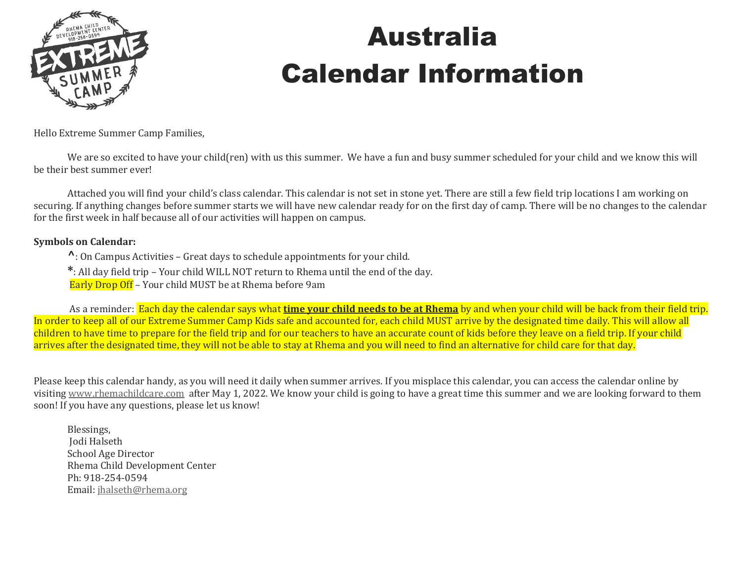

## Australia Calendar Information

Hello Extreme Summer Camp Families,

We are so excited to have your child(ren) with us this summer. We have a fun and busy summer scheduled for your child and we know this will be their best summer ever!

Attached you will find your child's class calendar. This calendar is not set in stone yet. There are still a few field trip locations I am working on securing. If anything changes before summer starts we will have new calendar ready for on the first day of camp. There will be no changes to the calendar for the first week in half because all of our activities will happen on campus.

#### **Symbols on Calendar:**

**^**: On Campus Activities – Great days to schedule appointments for your child.

**\***: All day field trip – Your child WILL NOT return to Rhema until the end of the day.

Early Drop Off – Your child MUST be at Rhema before 9am

As a reminder: Each day the calendar says what **time your child needs to be at Rhema** by and when your child will be back from their field trip. In order to keep all of our Extreme Summer Camp Kids safe and accounted for, each child MUST arrive by the designated time daily. This will allow all children to have time to prepare for the field trip and for our teachers to have an accurate count of kids before they leave on a field trip. If your child arrives after the designated time, they will not be able to stay at Rhema and you will need to find an alternative for child care for that day.

Please keep this calendar handy, as you will need it daily when summer arrives. If you misplace this calendar, you can access the calendar online by visiting [www.rhemachildcare.com](http://www.rhemachildcare.com/) after May 1, 2022. We know your child is going to have a great time this summer and we are looking forward to them soon! If you have any questions, please let us know!

Blessings, Jodi Halseth School Age Director Rhema Child Development Center Ph: 918-254-0594 Email: [jhalseth@rhema.org](mailto:jhalseth@rhema.org)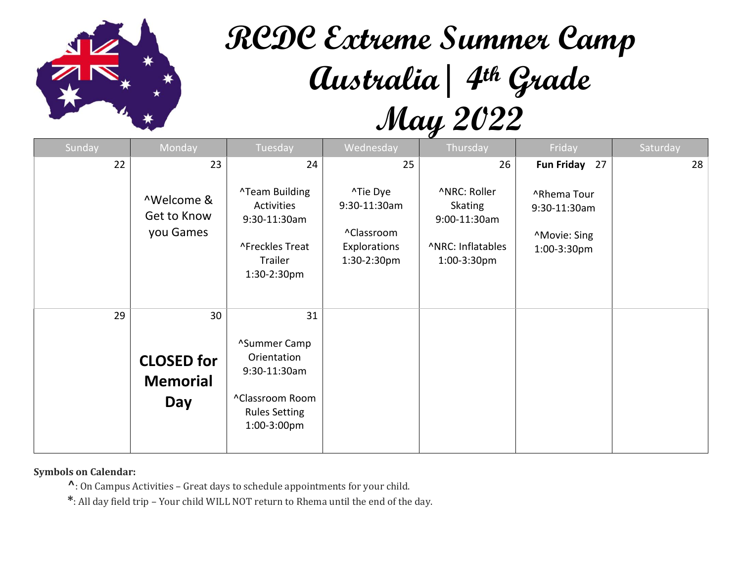

# **RCDC Extreme Summer Camp Australia| 4th Grade May 2022**

| Sunday | Monday                                            | Tuesday                                                                                                     | Wednesday                                                             | Thursday                                                                                  | Friday                                                     | Saturday |
|--------|---------------------------------------------------|-------------------------------------------------------------------------------------------------------------|-----------------------------------------------------------------------|-------------------------------------------------------------------------------------------|------------------------------------------------------------|----------|
| 22     | 23                                                | 24                                                                                                          | 25                                                                    | 26                                                                                        | Fun Friday 27                                              | 28       |
|        | ^Welcome &<br>Get to Know<br>you Games            | <b>^Team Building</b><br>Activities<br>9:30-11:30am<br>^Freckles Treat<br>Trailer<br>1:30-2:30pm            | ^Tie Dye<br>9:30-11:30am<br>^Classroom<br>Explorations<br>1:30-2:30pm | ^NRC: Roller<br><b>Skating</b><br>9:00-11:30am<br><b>ANRC: Inflatables</b><br>1:00-3:30pm | ^Rhema Tour<br>9:30-11:30am<br>^Movie: Sing<br>1:00-3:30pm |          |
| 29     | 30<br><b>CLOSED for</b><br><b>Memorial</b><br>Day | 31<br>^Summer Camp<br>Orientation<br>9:30-11:30am<br>^Classroom Room<br><b>Rules Setting</b><br>1:00-3:00pm |                                                                       |                                                                                           |                                                            |          |

**Symbols on Calendar:** 

**^**: On Campus Activities – Great days to schedule appointments for your child.

**\***: All day field trip – Your child WILL NOT return to Rhema until the end of the day.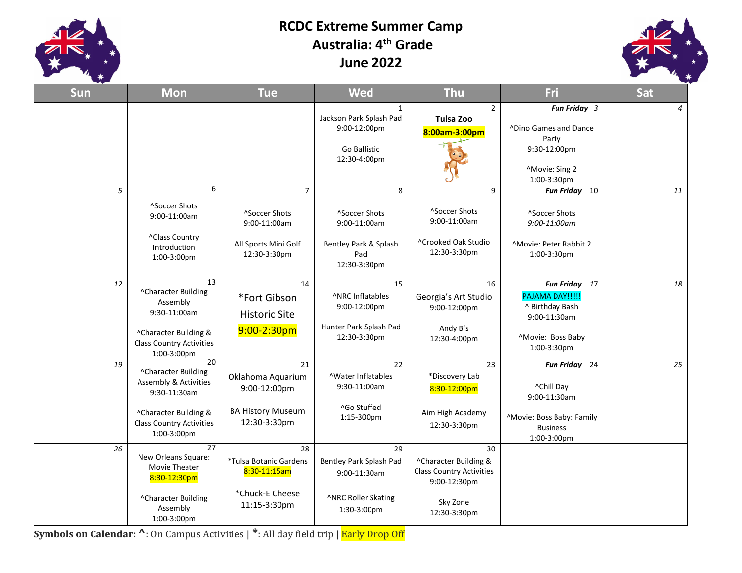

#### **RCDC Extreme Summer Camp Australia: 4 th Grade June 2022**



| <b>Sun</b> | <b>Mon</b>                                                                                                                                               | <b>Tue</b>                                                                                          | <b>Wed</b>                                                                              | <b>Thu</b>                                                                                                 | Fri                                                                                                        | <b>Sat</b>     |
|------------|----------------------------------------------------------------------------------------------------------------------------------------------------------|-----------------------------------------------------------------------------------------------------|-----------------------------------------------------------------------------------------|------------------------------------------------------------------------------------------------------------|------------------------------------------------------------------------------------------------------------|----------------|
|            |                                                                                                                                                          |                                                                                                     | $\mathbf{1}$<br>Jackson Park Splash Pad<br>9:00-12:00pm<br>Go Ballistic<br>12:30-4:00pm | $\overline{2}$<br>Tulsa Zoo<br>8:00am-3:00pm                                                               | Fun Friday 3<br>^Dino Games and Dance<br>Party<br>9:30-12:00pm<br>^Movie: Sing 2<br>1:00-3:30pm            | $\overline{4}$ |
| 5          | 6<br>^Soccer Shots<br>9:00-11:00am<br>^Class Country<br>Introduction<br>1:00-3:00pm                                                                      | $\overline{7}$<br><sup>^</sup> Soccer Shots<br>9:00-11:00am<br>All Sports Mini Golf<br>12:30-3:30pm | 8<br>^Soccer Shots<br>9:00-11:00am<br>Bentley Park & Splash<br>Pad<br>12:30-3:30pm      | 9<br>^Soccer Shots<br>9:00-11:00am<br>^Crooked Oak Studio<br>12:30-3:30pm                                  | Fun Friday 10<br>^Soccer Shots<br>9:00-11:00am<br><sup>^</sup> Movie: Peter Rabbit 2<br>1:00-3:30pm        | 11             |
| 12         | 13<br>^Character Building<br>Assembly<br>9:30-11:00am<br>^Character Building &<br><b>Class Country Activities</b><br>1:00-3:00pm                         | 14<br>*Fort Gibson<br><b>Historic Site</b><br>$9:00-2:30$ pm                                        | 15<br>^NRC Inflatables<br>9:00-12:00pm<br>Hunter Park Splash Pad<br>12:30-3:30pm        | 16<br>Georgia's Art Studio<br>9:00-12:00pm<br>Andy B's<br>12:30-4:00pm                                     | Fun Friday 17<br>PAJAMA DAY!!!!!<br>^ Birthday Bash<br>9:00-11:30am<br>^Movie: Boss Baby<br>1:00-3:30pm    | 18             |
| 19         | 20<br>^Character Building<br><b>Assembly &amp; Activities</b><br>9:30-11:30am<br>^Character Building &<br><b>Class Country Activities</b><br>1:00-3:00pm | 21<br>Oklahoma Aquarium<br>9:00-12:00pm<br><b>BA History Museum</b><br>12:30-3:30pm                 | 22<br><b>NVater Inflatables</b><br>9:30-11:00am<br>^Go Stuffed<br>$1:15-300$ pm         | 23<br>*Discovery Lab<br>8:30-12:00pm<br>Aim High Academy<br>12:30-3:30pm                                   | Fun Friday 24<br>^Chill Day<br>9:00-11:30am<br>^Movie: Boss Baby: Family<br><b>Business</b><br>1:00-3:00pm | 25             |
| 26         | 27<br>New Orleans Square:<br>Movie Theater<br>8:30-12:30pm<br>^Character Building<br>Assembly<br>1:00-3:00pm                                             | 28<br>*Tulsa Botanic Gardens<br>8:30-11:15am<br>*Chuck-E Cheese<br>11:15-3:30pm                     | 29<br>Bentley Park Splash Pad<br>9:00-11:30am<br>^NRC Roller Skating<br>1:30-3:00pm     | 30<br>^Character Building &<br><b>Class Country Activities</b><br>9:00-12:30pm<br>Sky Zone<br>12:30-3:30pm |                                                                                                            |                |

**Symbols on Calendar: ^**: On Campus Activities | **\***: All day field trip | Early Drop Off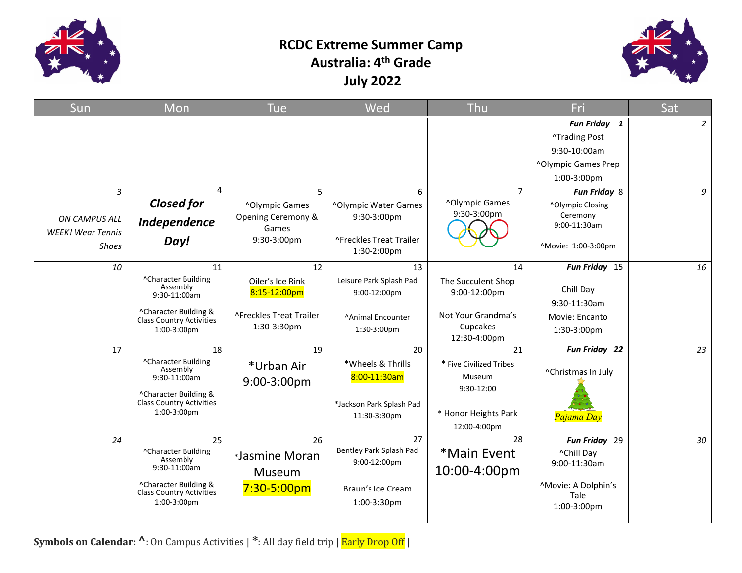

### **RCDC Extreme Summer Camp Australia: 4 th Grade July 2022**



| Sun                                       | Mon                                                                                                                                                                             | <b>Tue</b>                          | Wed                                            | Thu                                                                                     | Fri                                                                                            | Sat            |
|-------------------------------------------|---------------------------------------------------------------------------------------------------------------------------------------------------------------------------------|-------------------------------------|------------------------------------------------|-----------------------------------------------------------------------------------------|------------------------------------------------------------------------------------------------|----------------|
|                                           |                                                                                                                                                                                 |                                     |                                                |                                                                                         | Fun Friday 1                                                                                   | $\overline{2}$ |
|                                           |                                                                                                                                                                                 |                                     |                                                |                                                                                         | <b>^Trading Post</b>                                                                           |                |
|                                           |                                                                                                                                                                                 |                                     |                                                |                                                                                         | 9:30-10:00am                                                                                   |                |
|                                           |                                                                                                                                                                                 |                                     |                                                |                                                                                         | ^Olympic Games Prep                                                                            |                |
|                                           |                                                                                                                                                                                 |                                     |                                                |                                                                                         | 1:00-3:00pm                                                                                    |                |
| 3                                         | 4                                                                                                                                                                               | 5                                   | 6                                              | $\overline{7}$                                                                          | Fun Friday 8                                                                                   | 9              |
|                                           | <b>Closed for</b>                                                                                                                                                               | ^Olympic Games                      | ^Olympic Water Games                           | ^Olympic Games                                                                          | ^Olympic Closing                                                                               |                |
| ON CAMPUS ALL<br><b>WEEK!</b> Wear Tennis | Independence                                                                                                                                                                    | Opening Ceremony &<br>Games         | 9:30-3:00pm                                    | 9:30-3:00pm                                                                             | Ceremony<br>9:00-11:30am                                                                       |                |
| <b>Shoes</b>                              | Day!                                                                                                                                                                            | 9:30-3:00pm                         | ^Freckles Treat Trailer<br>1:30-2:00pm         |                                                                                         | ^Movie: 1:00-3:00pm                                                                            |                |
| 10                                        | 11                                                                                                                                                                              | 12                                  | 13                                             | 14                                                                                      | Fun Friday 15                                                                                  | 16             |
|                                           | ^Character Building<br>Assembly<br>9:30-11:00am                                                                                                                                 | Oiler's Ice Rink<br>8:15-12:00pm    | Leisure Park Splash Pad<br>9:00-12:00pm        | The Succulent Shop<br>9:00-12:00pm                                                      | Chill Day                                                                                      |                |
|                                           |                                                                                                                                                                                 |                                     |                                                |                                                                                         | 9:30-11:30am                                                                                   |                |
|                                           | ^Character Building &<br><b>Class Country Activities</b>                                                                                                                        | ^Freckles Treat Trailer             | <b>Animal Encounter</b>                        | Not Your Grandma's                                                                      | Movie: Encanto                                                                                 |                |
|                                           | 1:00-3:00pm                                                                                                                                                                     | 1:30-3:30pm                         | 1:30-3:00pm                                    | Cupcakes<br>12:30-4:00pm                                                                | 1:30-3:00pm                                                                                    |                |
| 17                                        | 18                                                                                                                                                                              | 19                                  | 20                                             | 21                                                                                      | Fun Friday 22                                                                                  | 23             |
|                                           | ^Character Building                                                                                                                                                             | *Urban Air                          | *Wheels & Thrills                              | * Five Civilized Tribes                                                                 |                                                                                                |                |
|                                           | $9:30-11:00am$                                                                                                                                                                  |                                     | 8:00-11:30am                                   | Museum                                                                                  |                                                                                                |                |
|                                           | ^Character Building &                                                                                                                                                           |                                     |                                                |                                                                                         |                                                                                                |                |
|                                           |                                                                                                                                                                                 |                                     |                                                |                                                                                         |                                                                                                |                |
|                                           |                                                                                                                                                                                 |                                     |                                                |                                                                                         |                                                                                                |                |
|                                           |                                                                                                                                                                                 |                                     |                                                |                                                                                         |                                                                                                |                |
|                                           |                                                                                                                                                                                 |                                     | Bentley Park Splash Pad                        |                                                                                         |                                                                                                |                |
|                                           | Assembly                                                                                                                                                                        |                                     | 9:00-12:00pm                                   |                                                                                         | 9:00-11:30am                                                                                   |                |
|                                           |                                                                                                                                                                                 | Museum                              |                                                |                                                                                         |                                                                                                |                |
|                                           |                                                                                                                                                                                 | $7:30 - 5:00pm$                     | Braun's Ice Cream                              |                                                                                         |                                                                                                |                |
|                                           | 1:00-3:00pm                                                                                                                                                                     |                                     | 1:00-3:30pm                                    |                                                                                         | 1:00-3:00pm                                                                                    |                |
| 24                                        | Assembly<br><b>Class Country Activities</b><br>1:00-3:00pm<br>25<br><sup>^</sup> Character Building<br>9:30-11:00am<br>^Character Building &<br><b>Class Country Activities</b> | 9:00-3:00pm<br>26<br>*Jasmine Moran | *Jackson Park Splash Pad<br>11:30-3:30pm<br>27 | 9:30-12:00<br>* Honor Heights Park<br>12:00-4:00pm<br>28<br>*Main Event<br>10:00-4:00pm | ^Christmas In July<br>Pajama Day<br>Fun Friday 29<br>^Chill Day<br>^Movie: A Dolphin's<br>Tale | 30             |

**Symbols on Calendar: ^**: On Campus Activities | **\***: All day field trip | Early Drop Off |